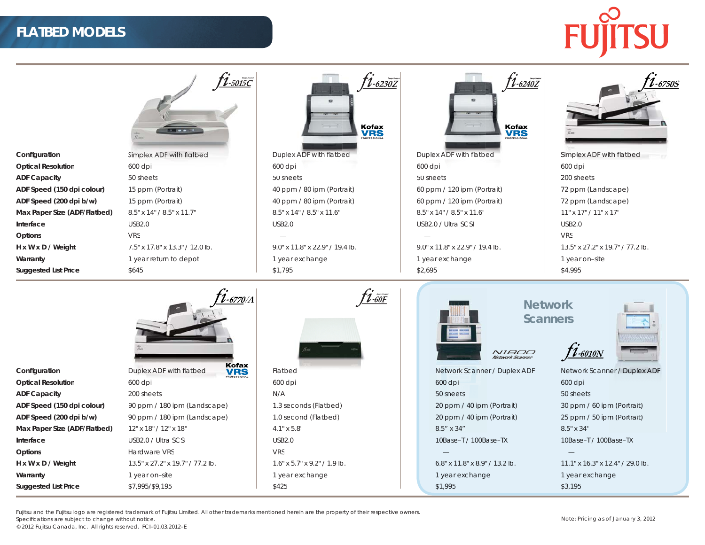## **FLATBED MODELS**



|                              | <u>†1.5015C</u>                                | $1 - 6230Z$<br><b>EZ</b><br>Kofax<br><b>VRS</b> | $1 - 6240Z$<br><b>Kofax</b><br><b>VRS</b>                                      | $-67505$                         |
|------------------------------|------------------------------------------------|-------------------------------------------------|--------------------------------------------------------------------------------|----------------------------------|
| Configuration                | Simplex ADF with flatbed                       | Duplex ADF with flatbed                         | Duplex ADF with flatbed                                                        | Simplex ADF with flatbed         |
| <b>Optical Resolution</b>    | 600 dpi                                        | 600 dpi                                         | 600 dpi                                                                        | 600 dpi                          |
| <b>ADF Capacity</b>          | 50 sheets                                      | 50 sheets                                       | 50 sheets                                                                      | 200 sheets                       |
| ADF Speed (150 dpi colour)   | 15 ppm (Portrait)                              | 40 ppm / 80 ipm (Portrait)                      | 60 ppm / 120 ipm (Portrait)                                                    | 72 ppm (Landscape)               |
| ADF Speed (200 dpi b/w)      | 15 ppm (Portrait)                              | 40 ppm / 80 ipm (Portrait)                      | 60 ppm / 120 ipm (Portrait)                                                    | 72 ppm (Landscape)               |
| Max Paper Size (ADF/Flatbed) | 8.5" x 14" / 8.5" x 11.7"                      | 8.5" x 14" / 8.5" x 11.6"                       | 8.5" x 14" / 8.5" x 11.6"                                                      | 11" x 17" / 11" x 17"            |
| Interface                    | <b>USB2.0</b>                                  | <b>USB2.0</b>                                   | USB2.0 / Ultra SCSI                                                            | <b>USB2.0</b>                    |
| Options                      | <b>VRS</b>                                     |                                                 |                                                                                | <b>VRS</b>                       |
| H x W x D / Weight           | 7.5" x 17.8" x 13.3" / 12.0 lb.                | 9.0" x 11.8" x 22.9" / 19.4 lb.                 | 9.0" x 11.8" x 22.9" / 19.4 lb.                                                | 13.5" x 27.2" x 19.7" / 77.2 lb. |
| Warranty                     | 1 year return to depot                         | 1 year exchange                                 | 1 year exchange                                                                | 1 year on-site                   |
| <b>Suggested List Price</b>  | \$645                                          | \$1,795                                         | \$2,695                                                                        | \$4,995                          |
|                              | .<br>1-6770/A                                  | $\hat{\mathcal{U}}$ -60 $F$                     | <b>Network</b><br><b>Scanners</b><br>$f_{1.6010N}$<br>N1800<br>Network Scanner |                                  |
| Configuration                | Kofax<br>Duplex ADF with flatbed<br><b>VRS</b> | Flatbed                                         | Network Scanner / Duplex ADF                                                   | Network Scanner / Duplex ADF     |
| <b>Optical Resolution</b>    | 600 dpi                                        | 600 dpi                                         | 600 dpi                                                                        | 600 dpi                          |
| <b>ADF Capacity</b>          | 200 sheets                                     | N/A                                             | 50 sheets                                                                      | 50 sheets                        |
| ADF Speed (150 dpi colour)   | 90 ppm / 180 ipm (Landscape)                   | 1.3 seconds (Flatbed)                           | 20 ppm / 40 ipm (Portrait)                                                     | 30 ppm / 60 ipm (Portrait)       |
| ADF Speed (200 dpi b/w)      | 90 ppm / 180 ipm (Landscape)                   | 1.0 second (Flatbed)                            | 20 ppm / 40 ipm (Portrait)                                                     | 25 ppm / 50 ipm (Portrait)       |
| Max Paper Size (ADF/Flatbed) | 12" x 18" / 12" x 18"                          | $4.1" \times 5.8"$                              | 8.5" x 34"                                                                     | 8.5" x 34"                       |
| Interface                    | USB2.0 / Ultra SCSI                            | <b>USB2.0</b>                                   | 10Base-T / 100Base-TX                                                          | 10Base-T / 100Base-TX            |
| Options                      | Hardware VRS                                   | <b>VRS</b>                                      |                                                                                |                                  |
| H x W x D / Weight           | 13.5" x 27.2" x 19.7" / 77.2 lb.               | $1.6"$ x 5.7" x 9.2" / 1.9 lb.                  | 6.8" x 11.8" x 8.9" / 13.2 lb.                                                 | 11.1" x 16.3" x 12.4" / 29.0 lb. |
| Warranty                     | 1 year on-site                                 | 1 year exchange                                 | 1 year exchange                                                                | 1 year exchange                  |
| <b>Suggested List Price</b>  | \$7.995/\$9.195                                | \$425                                           | \$1.995                                                                        | \$3,195                          |

Fujitsu and the Fujitsu logo are registered trademark of Fujitsu Limited. All other trademarks mentioned herein are the property of their respective owners.

Specifications are subject to change without notice.

© 2012 Fujitsu Canada, Inc. All rights reserved. FCI–01.03.2012–E